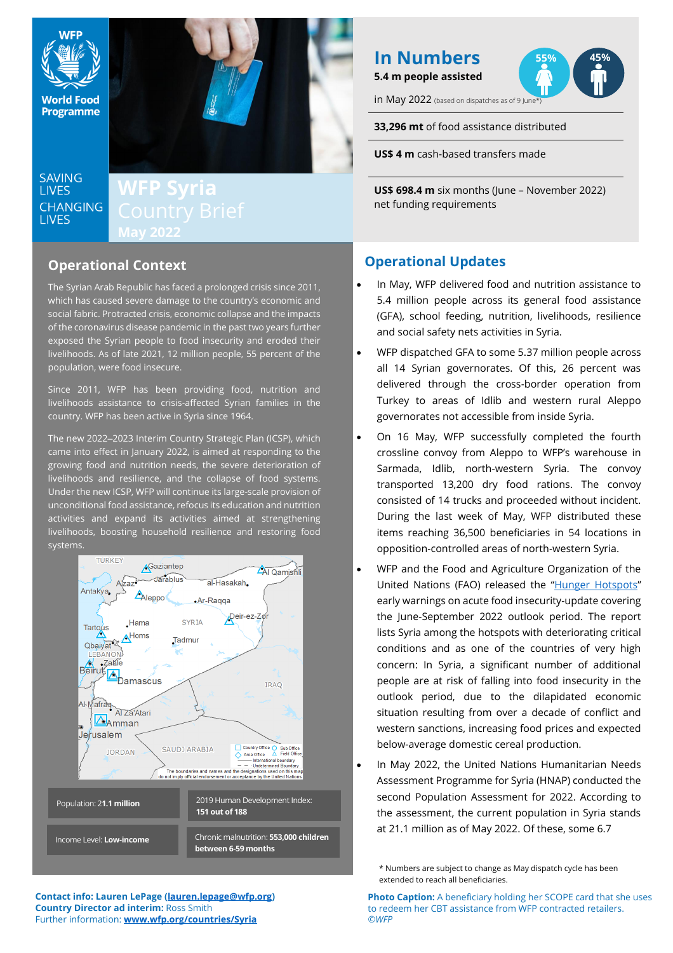

# **LIVES**

# **May 2022**

# **Operational Context**

The Syrian Arab Republic has faced a prolonged crisis since 2011, which has caused severe damage to the country's economic and social fabric. Protracted crisis, economic collapse and the impacts of the coronavirus disease pandemic in the past two years further exposed the Syrian people to food insecurity and eroded their livelihoods. As of late 2021, 12 million people, 55 percent of the population, were food insecure.

Since 2011, WFP has been providing food, nutrition and livelihoods assistance to crisis-affected Syrian families in the country. WFP has been active in Syria since 1964.

The new 2022-2023 Interim Country Strategic Plan (ICSP), which came into effect in January 2022, is aimed at responding to the growing food and nutrition needs, the severe deterioration of livelihoods and resilience, and the collapse of food systems. Under the new ICSP, WFP will continue its large-scale provision of unconditional food assistance, refocus its education and nutrition activities and expand its activities aimed at strengthening livelihoods, boosting household resilience and restoring food systems.



# **In Numbers 5.4 m people assisted**



in May 2022 (based on dispatches as of 9 June

**33,296 mt** of food assistance distributed

**US\$ 4 m** cash-based transfers made

**US\$ 698.4 m** six months (June – November 2022) net funding requirements

# **Operational Updates**

- In May, WFP delivered food and nutrition assistance to 5.4 million people across its general food assistance (GFA), school feeding, nutrition, livelihoods, resilience and social safety nets activities in Syria.
- WFP dispatched GFA to some 5.37 million people across all 14 Syrian governorates. Of this, 26 percent was delivered through the cross-border operation from Turkey to areas of Idlib and western rural Aleppo governorates not accessible from inside Syria.
- On 16 May, WFP successfully completed the fourth crossline convoy from Aleppo to WFP's warehouse in Sarmada, Idlib, north-western Syria. The convoy transported 13,200 dry food rations. The convoy consisted of 14 trucks and proceeded without incident. During the last week of May, WFP distributed these items reaching 36,500 beneficiaries in 54 locations in opposition-controlled areas of north-western Syria.
- WFP and the Food and Agriculture Organization of the United Nations (FAO) released the "[Hunger Hotspots](https://www.wfp.org/publications/hunger-hotspots-fao-wfp-early-warnings-acute-food-insecurity-june-september-2022)" early warnings on acute food insecurity-update covering the June-September 2022 outlook period. The report lists Syria among the hotspots with deteriorating critical conditions and as one of the countries of very high concern: In Syria, a significant number of additional people are at risk of falling into food insecurity in the outlook period, due to the dilapidated economic situation resulting from over a decade of conflict and western sanctions, increasing food prices and expected below-average domestic cereal production.
- In May 2022, the United Nations Humanitarian Needs Assessment Programme for Syria (HNAP) conducted the second Population Assessment for 2022. According to the assessment, the current population in Syria stands at 21.1 million as of May 2022. Of these, some 6.7

\* Numbers are subject to change as May dispatch cycle has been extended to reach all beneficiaries.

**Contact info: Lauren LePage [\(lauren.lepage@wfp.org\)](mailto:lauren.lepage@wfp.org) Country Director ad interim:** Ross Smith Further information: **[www.wfp.org/countries/Syria](http://www.wfp.org/countries/Syria)**

**Photo Caption:** A beneficiary holding her SCOPE card that she uses to redeem her CBT assistance from WFP contracted retailers. *©WFP*